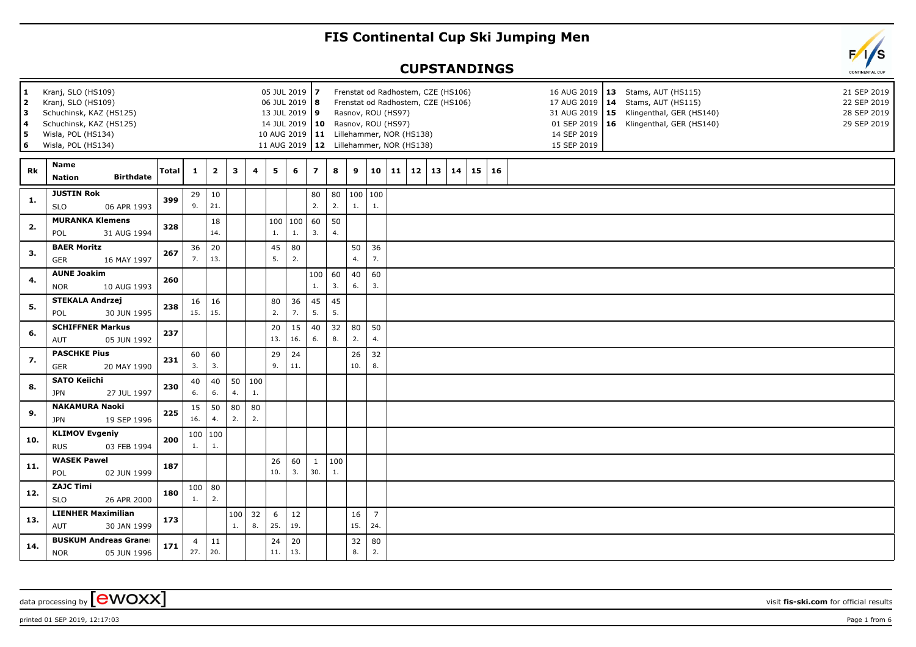## **FIS Continental Cup Ski Jumping Men**

## **CUPSTANDINGS**



printed 01 SEP 2019, 12:17:03 Page 1 from 6

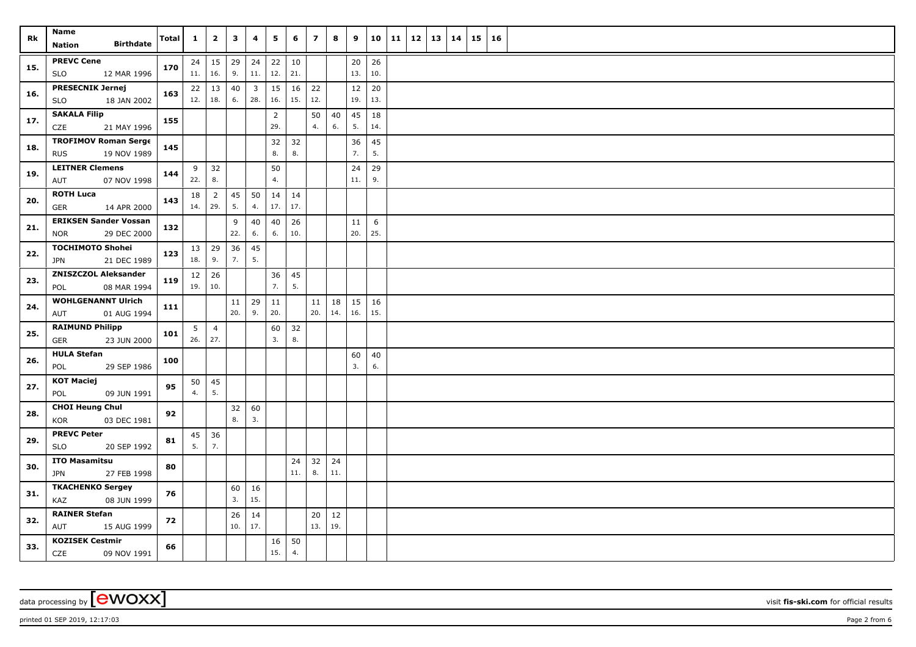| Name<br>Rk |                                                           | Total | $\mathbf{1}$ | $\overline{2}$        | 3         | 4                     | 5                     | 6         | $\overline{\phantom{a}}$ | 8         | 9         | 10        | 11 | 12 | 13 | 14 | 15 | 16 |  |  |  |  |  |  |
|------------|-----------------------------------------------------------|-------|--------------|-----------------------|-----------|-----------------------|-----------------------|-----------|--------------------------|-----------|-----------|-----------|----|----|----|----|----|----|--|--|--|--|--|--|
|            | <b>Birthdate</b><br><b>Nation</b>                         |       |              |                       |           |                       |                       |           |                          |           |           |           |    |    |    |    |    |    |  |  |  |  |  |  |
| 15.        | <b>PREVC Cene</b><br>12 MAR 1996<br>SLO                   | 170   | 11.          | $24 \mid 15$<br>16.   | 29<br>9.  | 24<br>11.             | 22<br>12.             | 10<br>21. |                          |           | 20<br>13. | 26<br>10. |    |    |    |    |    |    |  |  |  |  |  |  |
| 16.        | <b>PRESECNIK Jernej</b><br>18 JAN 2002<br><b>SLO</b>      | 163   | 12.          | $22 \mid 13$<br>18.   | 40<br>6.  | $\overline{3}$<br>28. | 15<br>16.             | 16<br>15. | 22<br>12.                |           | 12<br>19. | 20<br>13. |    |    |    |    |    |    |  |  |  |  |  |  |
| 17.        | <b>SAKALA Filip</b><br>21 MAY 1996<br>CZE                 | 155   |              |                       |           |                       | $\overline{2}$<br>29. |           | 50<br>4.                 | 40<br>6.  | 45<br>5.  | 18<br>14. |    |    |    |    |    |    |  |  |  |  |  |  |
| 18.        | <b>TROFIMOV Roman Serge</b><br><b>RUS</b><br>19 NOV 1989  | 145   |              |                       |           |                       | 32<br>8.              | 32<br>8.  |                          |           | 36<br>7.  | 45<br>5.  |    |    |    |    |    |    |  |  |  |  |  |  |
| 19.        | <b>LEITNER Clemens</b><br>07 NOV 1998<br>AUT              | 144   | 9<br>22.     | 32<br>8.              |           |                       | 50<br>4.              |           |                          |           | 24<br>11. | 29<br>9.  |    |    |    |    |    |    |  |  |  |  |  |  |
| 20.        | <b>ROTH Luca</b><br>GER<br>14 APR 2000                    | 143   | 18<br>14.    | $\overline{2}$<br>29. | 45<br>5.  | 50<br>4.              | 14<br>17.             | 14<br>17. |                          |           |           |           |    |    |    |    |    |    |  |  |  |  |  |  |
| 21.        | <b>ERIKSEN Sander Vossan</b><br><b>NOR</b><br>29 DEC 2000 | 132   |              |                       | 9<br>22.  | 40<br>6.              | 40<br>6.              | 26<br>10. |                          |           | 11<br>20. | 6<br>25.  |    |    |    |    |    |    |  |  |  |  |  |  |
| 22.        | <b>TOCHIMOTO Shohei</b><br><b>JPN</b><br>21 DEC 1989      | 123   | 18.          | $13 \mid 29$<br>9.    | 36<br>7.  | 45<br>5.              |                       |           |                          |           |           |           |    |    |    |    |    |    |  |  |  |  |  |  |
| 23.        | <b>ZNISZCZOL Aleksander</b><br>08 MAR 1994<br>POL         | 119   | 12 <br>19.   | 26<br>10.             |           |                       | 36<br>7.              | 45<br>5.  |                          |           |           |           |    |    |    |    |    |    |  |  |  |  |  |  |
| 24.        | <b>WOHLGENANNT Ulrich</b><br>01 AUG 1994<br>AUT           | 111   |              |                       | 11<br>20. | 29<br>9.              | 11<br>20.             |           | 11<br>20.                | 18<br>14. | 15<br>16. | 16<br>15. |    |    |    |    |    |    |  |  |  |  |  |  |
| 25.        | <b>RAIMUND Philipp</b><br><b>GER</b><br>23 JUN 2000       | 101   | 5<br>26.     | $\overline{4}$<br>27. |           |                       | 60<br>3.              | 32<br>8.  |                          |           |           |           |    |    |    |    |    |    |  |  |  |  |  |  |
| 26.        | <b>HULA Stefan</b><br>29 SEP 1986<br>POL                  | 100   |              |                       |           |                       |                       |           |                          |           | 60<br>3.  | 40<br>6.  |    |    |    |    |    |    |  |  |  |  |  |  |
| 27.        | <b>KOT Maciej</b><br>09 JUN 1991<br>POL                   | 95    | 50<br>4.     | 45<br>5.              |           |                       |                       |           |                          |           |           |           |    |    |    |    |    |    |  |  |  |  |  |  |
| 28.        | <b>CHOI Heung Chul</b><br>03 DEC 1981<br>KOR              | 92    |              |                       | 32<br>8.  | 60<br>3.              |                       |           |                          |           |           |           |    |    |    |    |    |    |  |  |  |  |  |  |
| 29.        | <b>PREVC Peter</b><br>20 SEP 1992<br><b>SLO</b>           | 81    | 45<br>5.     | 36<br>7.              |           |                       |                       |           |                          |           |           |           |    |    |    |    |    |    |  |  |  |  |  |  |
| 30.        | <b>ITO Masamitsu</b><br>27 FEB 1998<br><b>JPN</b>         | 80    |              |                       |           |                       |                       | 24<br>11. | 32<br>8.                 | 24<br>11. |           |           |    |    |    |    |    |    |  |  |  |  |  |  |
| 31.        | <b>TKACHENKO Sergey</b><br>KAZ<br>08 JUN 1999             | 76    |              |                       | 60<br>3.  | 16<br>15.             |                       |           |                          |           |           |           |    |    |    |    |    |    |  |  |  |  |  |  |
| 32.        | <b>RAINER Stefan</b><br>AUT<br>15 AUG 1999                | 72    |              |                       | 26<br>10. | 14<br>17.             |                       |           | 20<br>13.                | 12<br>19. |           |           |    |    |    |    |    |    |  |  |  |  |  |  |
| 33.        | <b>KOZISEK Cestmir</b><br>CZE<br>09 NOV 1991              | 66    |              |                       |           |                       | 16<br>15.             | 50<br>4.  |                          |           |           |           |    |    |    |    |    |    |  |  |  |  |  |  |

printed 01 SEP 2019, 12:17:03 Page 2 from 6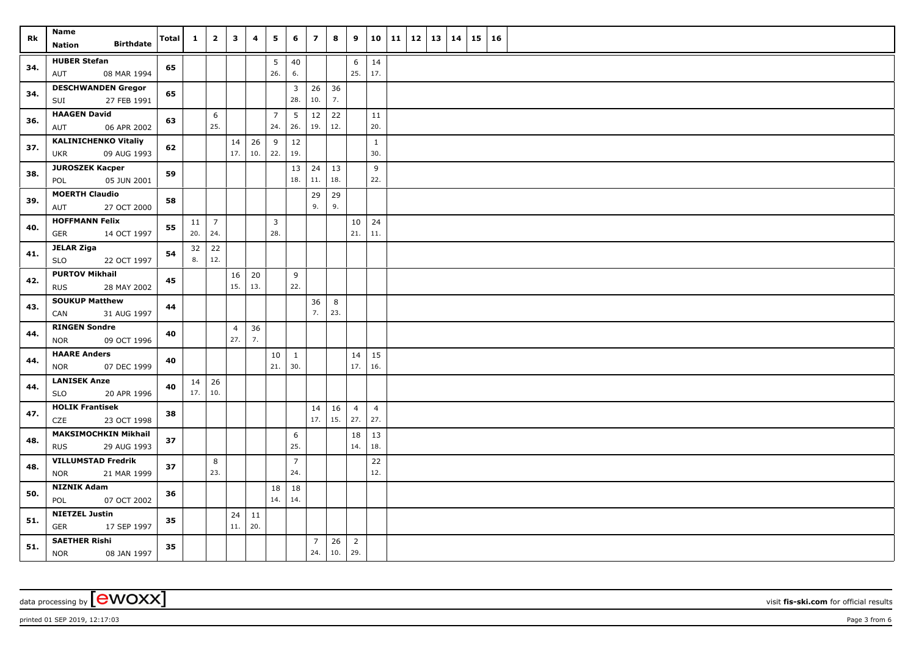| Rk  | Name<br><b>Birthdate</b><br><b>Nation</b>         | <b>Total</b> | $\mathbf{1}$ | $\overline{2}$      | $\mathbf{3}$   | 4         | 5                     | 6              | $\overline{\phantom{a}}$ | 8          | 9                     | 10             | 11 | 12 | 13   14 | 15 | 16 |  |
|-----|---------------------------------------------------|--------------|--------------|---------------------|----------------|-----------|-----------------------|----------------|--------------------------|------------|-----------------------|----------------|----|----|---------|----|----|--|
| 34. | <b>HUBER Stefan</b>                               | 65           |              |                     |                |           | 5                     | 40             |                          |            | 6                     | 14             |    |    |         |    |    |  |
|     | AUT<br>08 MAR 1994                                |              |              |                     |                |           | 26.                   | 6.             |                          |            | 25.                   | 17.            |    |    |         |    |    |  |
| 34. | <b>DESCHWANDEN Gregor</b>                         | 65           |              |                     |                |           |                       | $\overline{3}$ | 26                       | 36         |                       |                |    |    |         |    |    |  |
|     | 27 FEB 1991<br>SUI                                |              |              |                     |                |           |                       | 28.            | 10.                      | 7.         |                       |                |    |    |         |    |    |  |
| 36. | <b>HAAGEN David</b><br>AUT<br>06 APR 2002         | 63           |              | 6<br>25.            |                |           | $\overline{7}$<br>24. | 5<br>26.       | 12<br>19.                | 22<br>12.  |                       | 11<br>20.      |    |    |         |    |    |  |
|     | <b>KALINICHENKO Vitaliy</b>                       |              |              |                     | 14             | 26        | 9                     | 12             |                          |            |                       | $\mathbf{1}$   |    |    |         |    |    |  |
| 37. | <b>UKR</b><br>09 AUG 1993                         | 62           |              |                     | 17.            | 10.       | 22.                   | 19.            |                          |            |                       | 30.            |    |    |         |    |    |  |
| 38. | <b>JUROSZEK Kacper</b>                            | 59           |              |                     |                |           |                       | 13             | 24                       | 13         |                       | 9              |    |    |         |    |    |  |
|     | 05 JUN 2001<br>POL                                |              |              |                     |                |           |                       | 18.            | 11.                      | 18.        |                       | 22.            |    |    |         |    |    |  |
| 39. | <b>MOERTH Claudio</b>                             | 58           |              |                     |                |           |                       |                | 29                       | 29         |                       |                |    |    |         |    |    |  |
|     | AUT<br>27 OCT 2000                                |              |              |                     |                |           |                       |                | 9.                       | 9.         |                       |                |    |    |         |    |    |  |
| 40. | <b>HOFFMANN Felix</b>                             | 55           | 11           | $\overline{7}$      |                |           | $\overline{3}$<br>28. |                |                          |            | 10                    | 24             |    |    |         |    |    |  |
|     | <b>GER</b><br>14 OCT 1997                         |              | 20.          | 24.                 |                |           |                       |                |                          |            | 21.                   | 11.            |    |    |         |    |    |  |
| 41. | <b>JELAR Ziga</b><br><b>SLO</b><br>22 OCT 1997    | 54           | 32<br>8.     | 22<br>12.           |                |           |                       |                |                          |            |                       |                |    |    |         |    |    |  |
|     | <b>PURTOV Mikhail</b>                             |              |              |                     | 16             | 20        |                       | 9              |                          |            |                       |                |    |    |         |    |    |  |
| 42. | <b>RUS</b><br>28 MAY 2002                         | 45           |              |                     | 15.            | 13.       |                       | 22.            |                          |            |                       |                |    |    |         |    |    |  |
|     | <b>SOUKUP Matthew</b>                             |              |              |                     |                |           |                       |                | 36                       | 8          |                       |                |    |    |         |    |    |  |
| 43. | 31 AUG 1997<br>CAN                                | 44           |              |                     |                |           |                       |                | 7.                       | 23.        |                       |                |    |    |         |    |    |  |
| 44. | <b>RINGEN Sondre</b>                              | 40           |              |                     | $\overline{4}$ | 36        |                       |                |                          |            |                       |                |    |    |         |    |    |  |
|     | <b>NOR</b><br>09 OCT 1996                         |              |              |                     | 27.            | 7.        |                       |                |                          |            |                       |                |    |    |         |    |    |  |
| 44. | <b>HAARE Anders</b>                               | 40           |              |                     |                |           | 10                    | 1              |                          |            | 14                    | 15             |    |    |         |    |    |  |
|     | 07 DEC 1999<br><b>NOR</b>                         |              |              |                     |                |           | 21.                   | 30.            |                          |            | 17.                   | 16.            |    |    |         |    |    |  |
| 44. | <b>LANISEK Anze</b><br>20 APR 1996<br><b>SLO</b>  | 40           | 17.          | $14 \mid 26$<br>10. |                |           |                       |                |                          |            |                       |                |    |    |         |    |    |  |
|     | <b>HOLIK Frantisek</b>                            |              |              |                     |                |           |                       |                | 14                       | 16         | $\overline{4}$        | $\overline{4}$ |    |    |         |    |    |  |
| 47. | CZE<br>23 OCT 1998                                | 38           |              |                     |                |           |                       |                | 17.                      | 15.        | 27.                   | 27.            |    |    |         |    |    |  |
| 48. | <b>MAKSIMOCHKIN Mikhail</b>                       | 37           |              |                     |                |           |                       | 6              |                          |            | 18                    | 13             |    |    |         |    |    |  |
|     | <b>RUS</b><br>29 AUG 1993                         |              |              |                     |                |           |                       | 25.            |                          |            | 14.                   | 18.            |    |    |         |    |    |  |
| 48. | <b>VILLUMSTAD Fredrik</b>                         | 37           |              | 8                   |                |           |                       | $\overline{7}$ |                          |            |                       | 22             |    |    |         |    |    |  |
|     | 21 MAR 1999<br><b>NOR</b>                         |              |              | 23.                 |                |           |                       | 24.            |                          |            |                       | 12.            |    |    |         |    |    |  |
| 50. | <b>NIZNIK Adam</b><br>POL<br>07 OCT 2002          | 36           |              |                     |                |           | 18<br>14.             | 18<br>14.      |                          |            |                       |                |    |    |         |    |    |  |
|     | <b>NIETZEL Justin</b>                             |              |              |                     |                |           |                       |                |                          |            |                       |                |    |    |         |    |    |  |
| 51. | GER<br>17 SEP 1997                                | 35           |              |                     | 24<br>11.      | 11<br>20. |                       |                |                          |            |                       |                |    |    |         |    |    |  |
| 51. | <b>SAETHER Rishi</b><br><b>NOR</b><br>08 JAN 1997 | 35           |              |                     |                |           |                       |                | $\overline{7}$<br>24.    | 26<br> 10. | $\overline{2}$<br>29. |                |    |    |         |    |    |  |

data processing by **CWOXX** wisit **fis-ski.com** for official results

printed 01 SEP 2019, 12:17:03 Page 3 from 6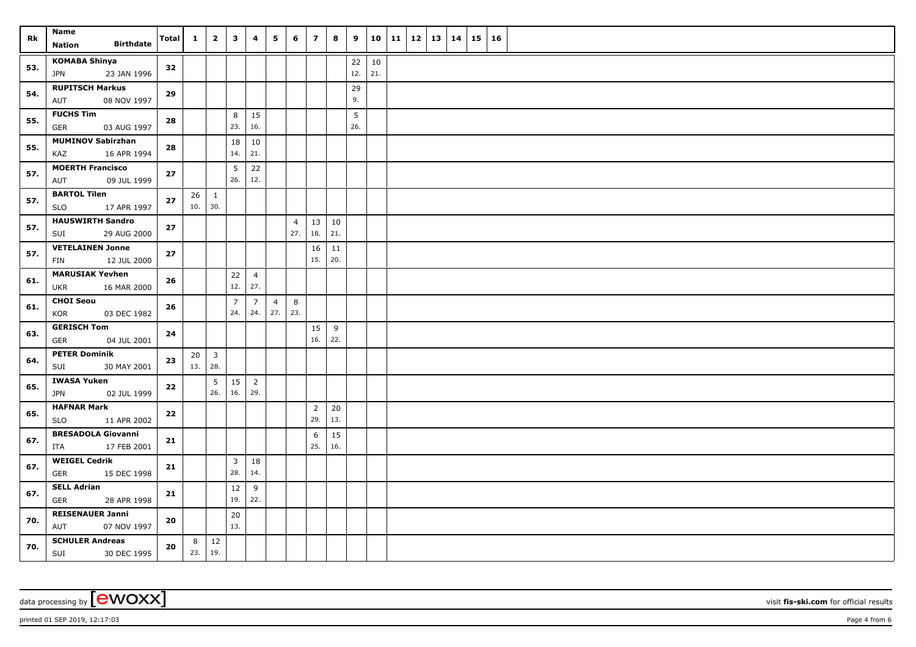| Rk  | Name<br><b>Birthdate</b><br>Nation               | Total    | $\mathbf{1}$ | $\overline{2}$      | $\mathbf{3}$   | 4                     | 5              | 6              | $\overline{\mathbf{z}}$ | 8   | 9               | 10        | 11 | 12   13   14 |  | 15 16 |  |
|-----|--------------------------------------------------|----------|--------------|---------------------|----------------|-----------------------|----------------|----------------|-------------------------|-----|-----------------|-----------|----|--------------|--|-------|--|
|     | <b>KOMABA Shinya</b>                             |          |              |                     |                |                       |                |                |                         |     |                 |           |    |              |  |       |  |
| 53. | 23 JAN 1996<br>JPN                               | 32       |              |                     |                |                       |                |                |                         |     | 22<br>12.       | 10<br>21. |    |              |  |       |  |
|     | <b>RUPITSCH Markus</b>                           |          |              |                     |                |                       |                |                |                         |     | 29              |           |    |              |  |       |  |
| 54. | 08 NOV 1997<br>AUT                               | 29       |              |                     |                |                       |                |                |                         |     | 9.              |           |    |              |  |       |  |
| 55. | <b>FUCHS Tim</b>                                 |          |              |                     | 8              | 15                    |                |                |                         |     | $5\phantom{.0}$ |           |    |              |  |       |  |
|     | GER<br>03 AUG 1997                               | 28       |              |                     | 23.            | 16.                   |                |                |                         |     | 26.             |           |    |              |  |       |  |
| 55. | <b>MUMINOV Sabirzhan</b>                         | 28       |              |                     | 18             | 10                    |                |                |                         |     |                 |           |    |              |  |       |  |
|     | KAZ<br>16 APR 1994                               |          |              |                     | 14.            | 21.                   |                |                |                         |     |                 |           |    |              |  |       |  |
| 57. | <b>MOERTH Francisco</b>                          | 27       |              |                     | 5              | 22                    |                |                |                         |     |                 |           |    |              |  |       |  |
|     | 09 JUL 1999<br>AUT                               |          |              |                     | 26.            | 12.                   |                |                |                         |     |                 |           |    |              |  |       |  |
| 57. | <b>BARTOL Tilen</b><br>17 APR 1997<br><b>SLO</b> | $\bf 27$ | $26 \mid 1$  | 10.   30.           |                |                       |                |                |                         |     |                 |           |    |              |  |       |  |
|     | <b>HAUSWIRTH Sandro</b>                          |          |              |                     |                |                       |                | $\overline{4}$ | 13                      | 10  |                 |           |    |              |  |       |  |
| 57. | SUI<br>29 AUG 2000                               | 27       |              |                     |                |                       |                | 27.            | 18.                     | 21. |                 |           |    |              |  |       |  |
|     | <b>VETELAINEN Jonne</b>                          |          |              |                     |                |                       |                |                | 16                      | 11  |                 |           |    |              |  |       |  |
| 57. | FIN<br>12 JUL 2000                               | 27       |              |                     |                |                       |                |                | 15.                     | 20. |                 |           |    |              |  |       |  |
|     | <b>MARUSIAK Yevhen</b>                           |          |              |                     | $22$           | $\overline{4}$        |                |                |                         |     |                 |           |    |              |  |       |  |
| 61. | 16 MAR 2000<br>UKR                               | 26       |              |                     | 12.            | 27.                   |                |                |                         |     |                 |           |    |              |  |       |  |
| 61. | <b>CHOI Seou</b>                                 | 26       |              |                     | $\overline{7}$ | $7^{\circ}$           | $\overline{4}$ | 8              |                         |     |                 |           |    |              |  |       |  |
|     | KOR<br>03 DEC 1982                               |          |              |                     | 24.            | 24.                   | 27.            | 23.            |                         |     |                 |           |    |              |  |       |  |
| 63. | <b>GERISCH Tom</b>                               | 24       |              |                     |                |                       |                |                | 15                      | 9   |                 |           |    |              |  |       |  |
|     | <b>GER</b><br>04 JUL 2001                        |          |              |                     |                |                       |                |                | 16.                     | 22. |                 |           |    |              |  |       |  |
| 64. | <b>PETER Dominik</b>                             | 23       |              | $20 \mid 3$         |                |                       |                |                |                         |     |                 |           |    |              |  |       |  |
|     | SUI<br>30 MAY 2001                               |          | 13.   28.    |                     |                |                       |                |                |                         |     |                 |           |    |              |  |       |  |
| 65. | IWASA Yuken<br>02 JUL 1999<br><b>JPN</b>         | 22       |              | 5<br>26.            | 15<br>16.      | $\overline{2}$<br>29. |                |                |                         |     |                 |           |    |              |  |       |  |
|     | <b>HAFNAR Mark</b>                               |          |              |                     |                |                       |                |                | $\overline{2}$          | 20  |                 |           |    |              |  |       |  |
| 65. | 11 APR 2002<br>SLO                               | 22       |              |                     |                |                       |                |                | 29.                     | 13. |                 |           |    |              |  |       |  |
|     | <b>BRESADOLA Giovanni</b>                        |          |              |                     |                |                       |                |                | 6                       | 15  |                 |           |    |              |  |       |  |
| 67. | 17 FEB 2001<br>ITA                               | 21       |              |                     |                |                       |                |                | 25.                     | 16. |                 |           |    |              |  |       |  |
| 67. | <b>WEIGEL Cedrik</b>                             | 21       |              |                     | $\overline{3}$ | 18                    |                |                |                         |     |                 |           |    |              |  |       |  |
|     | <b>GER</b><br>15 DEC 1998                        |          |              |                     | 28.            | 14.                   |                |                |                         |     |                 |           |    |              |  |       |  |
| 67. | <b>SELL Adrian</b>                               | 21       |              |                     | 12             | 9                     |                |                |                         |     |                 |           |    |              |  |       |  |
|     | GER<br>28 APR 1998                               |          |              |                     | 19.            | 22.                   |                |                |                         |     |                 |           |    |              |  |       |  |
| 70. | <b>REISENAUER Janni</b>                          | 20       |              |                     | 20<br>13.      |                       |                |                |                         |     |                 |           |    |              |  |       |  |
|     | AUT<br>07 NOV 1997<br><b>SCHULER Andreas</b>     |          |              |                     |                |                       |                |                |                         |     |                 |           |    |              |  |       |  |
| 70. | SUI<br>30 DEC 1995                               | 20       | 23.          | $8 \mid 12$<br> 19. |                |                       |                |                |                         |     |                 |           |    |              |  |       |  |

printed 01 SEP 2019, 12:17:03 Page 4 from 6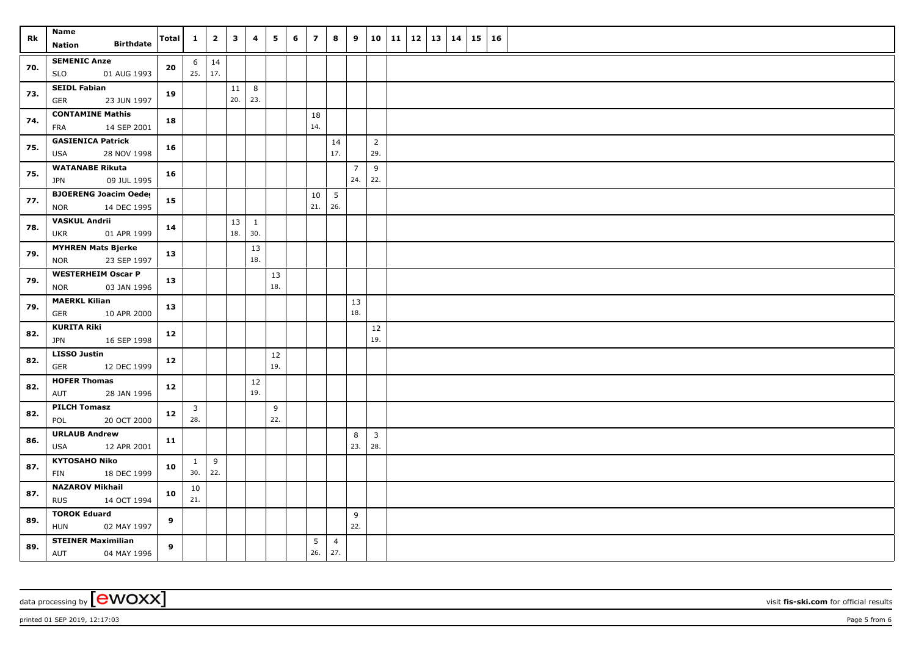| Rk  | Name<br><b>Birthdate</b>                                  | <b>Total</b> | $\mathbf{1}$              | $\overline{2}$          | $\mathbf{3}$ | 4                   | 5         | 6 | $\overline{\mathbf{z}}$ | 8                      | 9              | 10                    | 11 | 12 13 | 14 | $15 \mid 16$ |  |
|-----|-----------------------------------------------------------|--------------|---------------------------|-------------------------|--------------|---------------------|-----------|---|-------------------------|------------------------|----------------|-----------------------|----|-------|----|--------------|--|
|     | Nation                                                    |              |                           |                         |              |                     |           |   |                         |                        |                |                       |    |       |    |              |  |
| 70. | <b>SEMENIC Anze</b><br><b>SLO</b><br>01 AUG 1993          | 20           | 6                         | $\vert$ 14<br>$25.$ 17. |              |                     |           |   |                         |                        |                |                       |    |       |    |              |  |
| 73. | <b>SEIDL Fabian</b><br><b>GER</b><br>23 JUN 1997          | 19           |                           |                         | 11<br>20.    | 8<br>23.            |           |   |                         |                        |                |                       |    |       |    |              |  |
| 74. | <b>CONTAMINE Mathis</b><br>14 SEP 2001<br><b>FRA</b>      | 18           |                           |                         |              |                     |           |   | 18<br>14.               |                        |                |                       |    |       |    |              |  |
| 75. | <b>GASIENICA Patrick</b><br>28 NOV 1998<br>USA            | 16           |                           |                         |              |                     |           |   |                         | 14<br>17.              |                | $\overline{2}$<br>29. |    |       |    |              |  |
|     | <b>WATANABE Rikuta</b>                                    |              |                           |                         |              |                     |           |   |                         |                        | $\overline{7}$ | 9                     |    |       |    |              |  |
| 75. | 09 JUL 1995<br><b>JPN</b>                                 | 16           |                           |                         |              |                     |           |   |                         |                        | 24.            | 22.                   |    |       |    |              |  |
| 77. | <b>BJOERENG Joacim Oeder</b><br>14 DEC 1995<br><b>NOR</b> | 15           |                           |                         |              |                     |           |   | 10<br>21.               | $5\overline{)}$<br>26. |                |                       |    |       |    |              |  |
| 78. | <b>VASKUL Andrii</b><br>UKR<br>01 APR 1999                | 14           |                           |                         | 13<br>18.    | $\mathbf{1}$<br>30. |           |   |                         |                        |                |                       |    |       |    |              |  |
|     | <b>MYHREN Mats Bjerke</b>                                 |              |                           |                         |              | 13                  |           |   |                         |                        |                |                       |    |       |    |              |  |
| 79. | 23 SEP 1997<br>NOR                                        | 13           |                           |                         |              | 18.                 |           |   |                         |                        |                |                       |    |       |    |              |  |
| 79. | <b>WESTERHEIM Oscar P</b><br>03 JAN 1996<br><b>NOR</b>    | 13           |                           |                         |              |                     | 13<br>18. |   |                         |                        |                |                       |    |       |    |              |  |
| 79. | <b>MAERKL Kilian</b><br>GER<br>10 APR 2000                | 13           |                           |                         |              |                     |           |   |                         |                        | 13<br>18.      |                       |    |       |    |              |  |
| 82. | <b>KURITA Riki</b><br><b>JPN</b><br>16 SEP 1998           | 12           |                           |                         |              |                     |           |   |                         |                        |                | 12<br>19.             |    |       |    |              |  |
| 82. | <b>LISSO Justin</b><br><b>GER</b><br>12 DEC 1999          | 12           |                           |                         |              |                     | 12<br>19. |   |                         |                        |                |                       |    |       |    |              |  |
| 82. | <b>HOFER Thomas</b><br>28 JAN 1996<br>AUT                 | 12           |                           |                         |              | $12\,$<br>19.       |           |   |                         |                        |                |                       |    |       |    |              |  |
| 82. | <b>PILCH Tomasz</b><br>20 OCT 2000<br>POL                 | 12           | $\overline{3}$<br>28.     |                         |              |                     | 9<br>22.  |   |                         |                        |                |                       |    |       |    |              |  |
|     | <b>URLAUB Andrew</b>                                      |              |                           |                         |              |                     |           |   |                         |                        | 8              | $\overline{3}$        |    |       |    |              |  |
| 86. | 12 APR 2001<br>USA                                        | 11           |                           |                         |              |                     |           |   |                         |                        | 23.            | 28.                   |    |       |    |              |  |
| 87. | <b>KYTOSAHO Niko</b><br>FIN<br>18 DEC 1999                | 10           | $\mathbf{1}$<br>$30.$ 22. | 9                       |              |                     |           |   |                         |                        |                |                       |    |       |    |              |  |
| 87. | <b>NAZAROV Mikhail</b><br>14 OCT 1994<br><b>RUS</b>       | 10           | 10<br>21.                 |                         |              |                     |           |   |                         |                        |                |                       |    |       |    |              |  |
|     | <b>TOROK Eduard</b>                                       |              |                           |                         |              |                     |           |   |                         |                        | 9              |                       |    |       |    |              |  |
| 89. | HUN<br>02 MAY 1997                                        | 9            |                           |                         |              |                     |           |   |                         |                        | 22.            |                       |    |       |    |              |  |
| 89. | <b>STEINER Maximilian</b><br>AUT<br>04 MAY 1996           | 9            |                           |                         |              |                     |           |   | 5<br>26.                | $\overline{4}$<br>27.  |                |                       |    |       |    |              |  |

data processing by **CWOXX** wisit **fis-ski.com** for official results

printed 01 SEP 2019, 12:17:03 Page 5 from 6